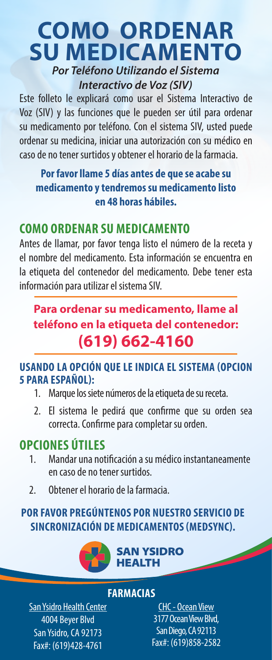## **COMO ORDENAR SU MEDICAMENTO** *Por Teléfono Utilizando el Sistema Interactivo de Voz (SIV)*

Este folleto le explicará como usar el Sistema Interactivo de Voz (SIV) y las funciones que le pueden ser útil para ordenar su medicamento por teléfono. Con el sistema SIV, usted puede ordenar su medicina, iniciar una autorización con su médico en caso de no tener surtidos y obtener el horario de la farmacia.

### **Por favor llame 5 días antes de que se acabe su medicamento y tendremos su medicamento listo en 48 horas hábiles.**

### **COMO ORDENAR SU MEDICAMENTO**

Antes de llamar, por favor tenga listo el número de la receta y el nombre del medicamento. Esta información se encuentra en la etiqueta del contenedor del medicamento. Debe tener esta información para utilizar el sistema SIV.

### **Para ordenar su medicamento, llame al teléfono en la etiqueta del contenedor: (619) 662-4160**

#### **USANDO LA OPCIÓN QUE LE INDICA EL SISTEMA (OPCION 5 PARA ESPAÑOL):**

- 1. Marque los siete números de la etiqueta de su receta.
- 2. El sistema le pedirá que confirme que su orden sea correcta. Confirme para completar su orden.

# **OPCIONES ÚTILES**

- 1. Mandar una notificación a su médico instantaneamente en caso de no tener surtidos.
- 2. Obtener el horario de la farmacia.

### **POR FAVOR PREGÚNTENOS POR NUESTRO SERVICIO DE SINCRONIZACIÓN DE MEDICAMENTOS (MEDSYNC).**



#### **FARMACIAS**

**San Ysidro Health Center** 4004 Beyer Blvd San Ysidro, CA 92173 Fax#: (619)428-4761

CHC - Ocean View 3177 Ocean View Blvd, San Diego, CA 92113 Fax#: (619)858-2582  $\overline{\mathcal{L}}$